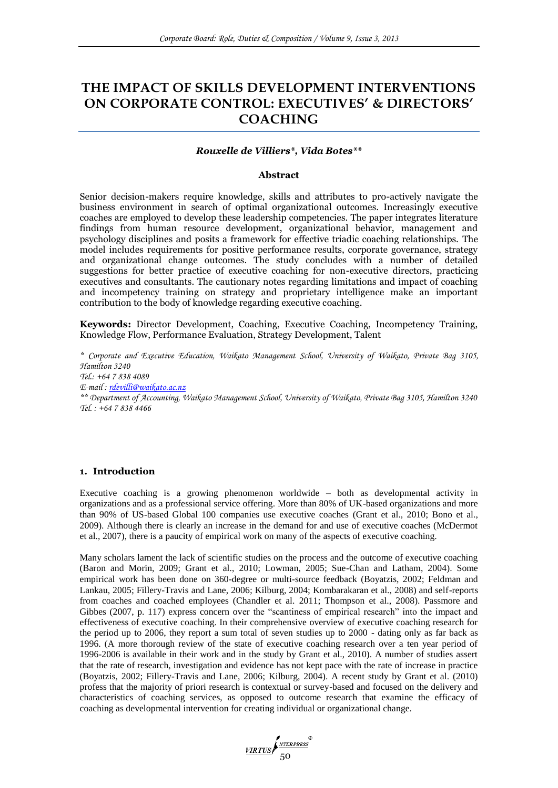# **THE IMPACT OF SKILLS DEVELOPMENT INTERVENTIONS ON CORPORATE CONTROL: EXECUTIVES' & DIRECTORS' COACHING**

# *Rouxelle de Villiers\*, Vida Botes\*\**

#### **Abstract**

Senior decision-makers require knowledge, skills and attributes to pro-actively navigate the business environment in search of optimal organizational outcomes. Increasingly executive coaches are employed to develop these leadership competencies. The paper integrates literature findings from human resource development, organizational behavior, management and psychology disciplines and posits a framework for effective triadic coaching relationships. The model includes requirements for positive performance results, corporate governance, strategy and organizational change outcomes. The study concludes with a number of detailed suggestions for better practice of executive coaching for non-executive directors, practicing executives and consultants. The cautionary notes regarding limitations and impact of coaching and incompetency training on strategy and proprietary intelligence make an important contribution to the body of knowledge regarding executive coaching.

**Keywords:** Director Development, Coaching, Executive Coaching, Incompetency Training, Knowledge Flow, Performance Evaluation, Strategy Development, Talent

*\* Corporate and Executive Education, Waikato Management School, University of Waikato, Private Bag 3105, Hamilton 3240 Tel.: +64 7 838 4089 E-mail : [rdevilli@waikato.ac.nz](mailto:rdevilli@waikato.ac.nz) \*\* Department of Accounting, Waikato Management School, University of Waikato, Private Bag 3105, Hamilton 3240 Tel. : +64 7 838 4466*

### **1. Introduction**

Executive coaching is a growing phenomenon worldwide – both as developmental activity in organizations and as a professional service offering. More than 80% of UK-based organizations and more than 90% of US-based Global 100 companies use executive coaches (Grant et al., 2010; Bono et al., 2009). Although there is clearly an increase in the demand for and use of executive coaches (McDermot et al., 2007), there is a paucity of empirical work on many of the aspects of executive coaching.

Many scholars lament the lack of scientific studies on the process and the outcome of executive coaching (Baron and Morin, 2009; Grant et al., 2010; Lowman, 2005; Sue-Chan and Latham, 2004). Some empirical work has been done on 360-degree or multi-source feedback (Boyatzis, 2002; Feldman and Lankau, 2005; Fillery-Travis and Lane, 2006; Kilburg, 2004; Kombarakaran et al., 2008) and self-reports from coaches and coached employees (Chandler et al. 2011; Thompson et al., 2008). Passmore and Gibbes (2007, p. 117) express concern over the "scantiness of empirical research" into the impact and effectiveness of executive coaching. In their comprehensive overview of executive coaching research for the period up to 2006, they report a sum total of seven studies up to 2000 - dating only as far back as 1996. (A more thorough review of the state of executive coaching research over a ten year period of 1996-2006 is available in their work and in the study by Grant et al., 2010). A number of studies assert that the rate of research, investigation and evidence has not kept pace with the rate of increase in practice (Boyatzis, 2002; Fillery-Travis and Lane, 2006; Kilburg, 2004). A recent study by Grant et al. (2010) profess that the majority of priori research is contextual or survey-based and focused on the delivery and characteristics of coaching services, as opposed to outcome research that examine the efficacy of coaching as developmental intervention for creating individual or organizational change.

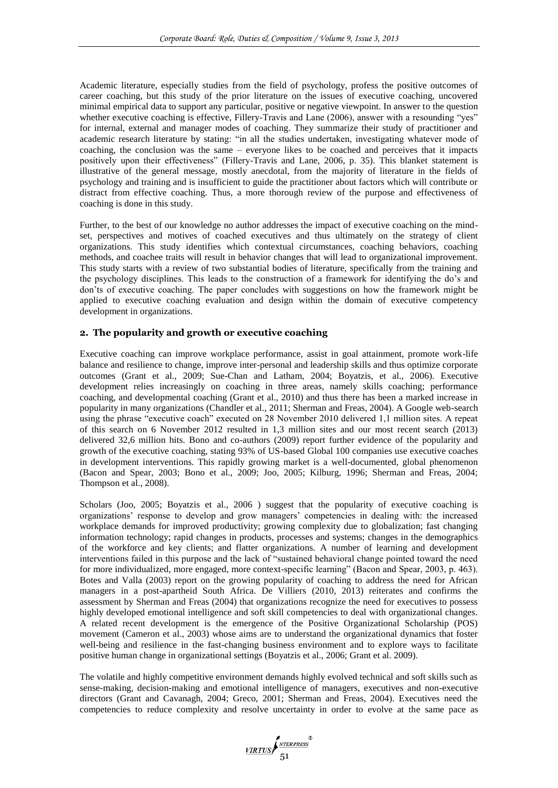Academic literature, especially studies from the field of psychology, profess the positive outcomes of career coaching, but this study of the prior literature on the issues of executive coaching, uncovered minimal empirical data to support any particular, positive or negative viewpoint. In answer to the question whether executive coaching is effective, Fillery-Travis and Lane (2006), answer with a resounding "yes" for internal, external and manager modes of coaching. They summarize their study of practitioner and academic research literature by stating: "in all the studies undertaken, investigating whatever mode of coaching, the conclusion was the same – everyone likes to be coached and perceives that it impacts positively upon their effectiveness" (Fillery-Travis and Lane, 2006, p. 35). This blanket statement is illustrative of the general message, mostly anecdotal, from the majority of literature in the fields of psychology and training and is insufficient to guide the practitioner about factors which will contribute or distract from effective coaching. Thus, a more thorough review of the purpose and effectiveness of coaching is done in this study.

Further, to the best of our knowledge no author addresses the impact of executive coaching on the mindset, perspectives and motives of coached executives and thus ultimately on the strategy of client organizations. This study identifies which contextual circumstances, coaching behaviors, coaching methods, and coachee traits will result in behavior changes that will lead to organizational improvement. This study starts with a review of two substantial bodies of literature, specifically from the training and the psychology disciplines. This leads to the construction of a framework for identifying the do's and don'ts of executive coaching. The paper concludes with suggestions on how the framework might be applied to executive coaching evaluation and design within the domain of executive competency development in organizations.

# **2. The popularity and growth or executive coaching**

Executive coaching can improve workplace performance, assist in goal attainment, promote work-life balance and resilience to change, improve inter-personal and leadership skills and thus optimize corporate outcomes (Grant et al., 2009; Sue-Chan and Latham, 2004; Boyatzis, et al., 2006). Executive development relies increasingly on coaching in three areas, namely skills coaching; performance coaching, and developmental coaching (Grant et al., 2010) and thus there has been a marked increase in popularity in many organizations (Chandler et al., 2011; Sherman and Freas, 2004). A Google web-search using the phrase "executive coach" executed on 28 November 2010 delivered 1,1 million sites. A repeat of this search on 6 November 2012 resulted in 1,3 million sites and our most recent search (2013) delivered 32,6 million hits. Bono and co-authors (2009) report further evidence of the popularity and growth of the executive coaching, stating 93% of US-based Global 100 companies use executive coaches in development interventions. This rapidly growing market is a well-documented, global phenomenon (Bacon and Spear, 2003; Bono et al., 2009; Joo, 2005; Kilburg, 1996; Sherman and Freas, 2004; Thompson et al., 2008).

Scholars (Joo, 2005; Boyatzis et al., 2006) suggest that the popularity of executive coaching is organizations' response to develop and grow managers' competencies in dealing with: the increased workplace demands for improved productivity; growing complexity due to globalization; fast changing information technology; rapid changes in products, processes and systems; changes in the demographics of the workforce and key clients; and flatter organizations. A number of learning and development interventions failed in this purpose and the lack of "sustained behavioral change pointed toward the need for more individualized, more engaged, more context-specific learning" (Bacon and Spear, 2003, p. 463). Botes and Valla (2003) report on the growing popularity of coaching to address the need for African managers in a post-apartheid South Africa. De Villiers (2010, 2013) reiterates and confirms the assessment by Sherman and Freas (2004) that organizations recognize the need for executives to possess highly developed emotional intelligence and soft skill competencies to deal with organizational changes. A related recent development is the emergence of the Positive Organizational Scholarship (POS) movement (Cameron et al., 2003) whose aims are to understand the organizational dynamics that foster well-being and resilience in the fast-changing business environment and to explore ways to facilitate positive human change in organizational settings (Boyatzis et al., 2006; Grant et al. 2009).

The volatile and highly competitive environment demands highly evolved technical and soft skills such as sense-making, decision-making and emotional intelligence of managers, executives and non-executive directors (Grant and Cavanagh, 2004; Greco, 2001; Sherman and Freas, 2004). Executives need the competencies to reduce complexity and resolve uncertainty in order to evolve at the same pace as

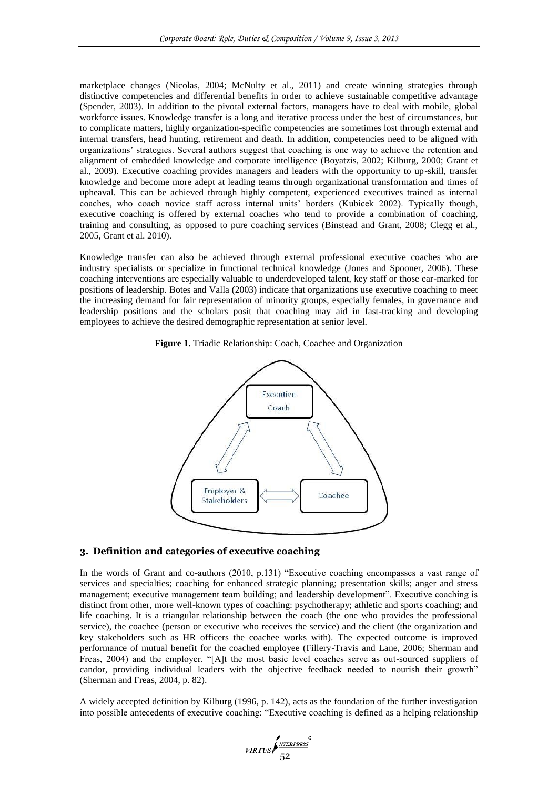marketplace changes (Nicolas, 2004; McNulty et al., 2011) and create winning strategies through distinctive competencies and differential benefits in order to achieve sustainable competitive advantage (Spender, 2003). In addition to the pivotal external factors, managers have to deal with mobile, global workforce issues. Knowledge transfer is a long and iterative process under the best of circumstances, but to complicate matters, highly organization-specific competencies are sometimes lost through external and internal transfers, head hunting, retirement and death. In addition, competencies need to be aligned with organizations' strategies. Several authors suggest that coaching is one way to achieve the retention and alignment of embedded knowledge and corporate intelligence (Boyatzis, 2002; Kilburg, 2000; Grant et al., 2009). Executive coaching provides managers and leaders with the opportunity to up-skill, transfer knowledge and become more adept at leading teams through organizational transformation and times of upheaval. This can be achieved through highly competent, experienced executives trained as internal coaches, who coach novice staff across internal units' borders (Kubicek 2002). Typically though, executive coaching is offered by external coaches who tend to provide a combination of coaching, training and consulting, as opposed to pure coaching services (Binstead and Grant, 2008; Clegg et al., 2005, Grant et al. 2010).

Knowledge transfer can also be achieved through external professional executive coaches who are industry specialists or specialize in functional technical knowledge (Jones and Spooner, 2006). These coaching interventions are especially valuable to underdeveloped talent, key staff or those ear-marked for positions of leadership. Botes and Valla (2003) indicate that organizations use executive coaching to meet the increasing demand for fair representation of minority groups, especially females, in governance and leadership positions and the scholars posit that coaching may aid in fast-tracking and developing employees to achieve the desired demographic representation at senior level.





# **3. Definition and categories of executive coaching**

In the words of Grant and co-authors (2010, p.131) "Executive coaching encompasses a vast range of services and specialties; coaching for enhanced strategic planning; presentation skills; anger and stress management; executive management team building; and leadership development". Executive coaching is distinct from other, more well-known types of coaching: psychotherapy; athletic and sports coaching; and life coaching. It is a triangular relationship between the coach (the one who provides the professional service), the coachee (person or executive who receives the service) and the client (the organization and key stakeholders such as HR officers the coachee works with). The expected outcome is improved performance of mutual benefit for the coached employee (Fillery-Travis and Lane, 2006; Sherman and Freas, 2004) and the employer. "[A]t the most basic level coaches serve as out-sourced suppliers of candor, providing individual leaders with the objective feedback needed to nourish their growth" (Sherman and Freas, 2004, p. 82).

A widely accepted definition by Kilburg (1996, p. 142), acts as the foundation of the further investigation into possible antecedents of executive coaching: "Executive coaching is defined as a helping relationship

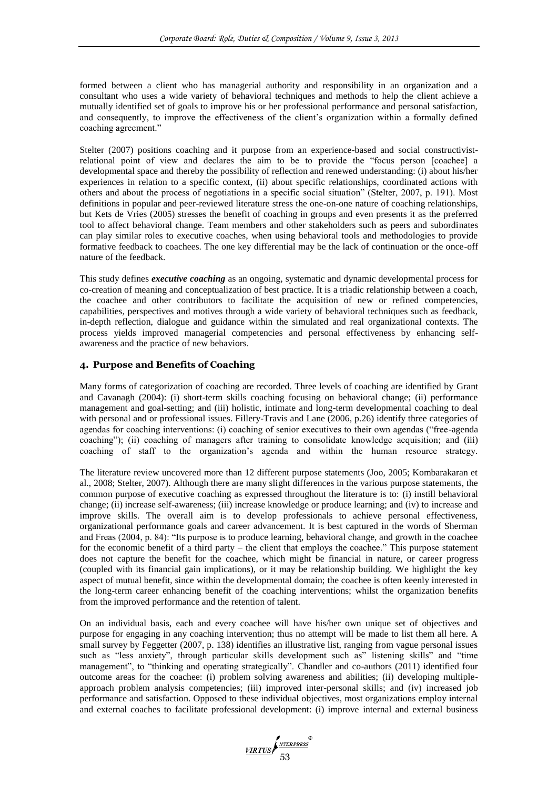formed between a client who has managerial authority and responsibility in an organization and a consultant who uses a wide variety of behavioral techniques and methods to help the client achieve a mutually identified set of goals to improve his or her professional performance and personal satisfaction, and consequently, to improve the effectiveness of the client's organization within a formally defined coaching agreement."

Stelter (2007) positions coaching and it purpose from an experience-based and social constructivistrelational point of view and declares the aim to be to provide the "focus person [coachee] a developmental space and thereby the possibility of reflection and renewed understanding: (i) about his/her experiences in relation to a specific context, (ii) about specific relationships, coordinated actions with others and about the process of negotiations in a specific social situation" (Stelter, 2007, p. 191). Most definitions in popular and peer-reviewed literature stress the one-on-one nature of coaching relationships, but Kets de Vries (2005) stresses the benefit of coaching in groups and even presents it as the preferred tool to affect behavioral change. Team members and other stakeholders such as peers and subordinates can play similar roles to executive coaches, when using behavioral tools and methodologies to provide formative feedback to coachees. The one key differential may be the lack of continuation or the once-off nature of the feedback.

This study defines *executive coaching* as an ongoing, systematic and dynamic developmental process for co-creation of meaning and conceptualization of best practice. It is a triadic relationship between a coach, the coachee and other contributors to facilitate the acquisition of new or refined competencies, capabilities, perspectives and motives through a wide variety of behavioral techniques such as feedback, in-depth reflection, dialogue and guidance within the simulated and real organizational contexts. The process yields improved managerial competencies and personal effectiveness by enhancing selfawareness and the practice of new behaviors.

# **4. Purpose and Benefits of Coaching**

Many forms of categorization of coaching are recorded. Three levels of coaching are identified by Grant and Cavanagh (2004): (i) short-term skills coaching focusing on behavioral change; (ii) performance management and goal-setting; and (iii) holistic, intimate and long-term developmental coaching to deal with personal and or professional issues. Fillery-Travis and Lane (2006, p.26) identify three categories of agendas for coaching interventions: (i) coaching of senior executives to their own agendas ("free-agenda coaching"); (ii) coaching of managers after training to consolidate knowledge acquisition; and (iii) coaching of staff to the organization's agenda and within the human resource strategy.

The literature review uncovered more than 12 different purpose statements (Joo, 2005; Kombarakaran et al., 2008; Stelter, 2007). Although there are many slight differences in the various purpose statements, the common purpose of executive coaching as expressed throughout the literature is to: (i) instill behavioral change; (ii) increase self-awareness; (iii) increase knowledge or produce learning; and (iv) to increase and improve skills. The overall aim is to develop professionals to achieve personal effectiveness, organizational performance goals and career advancement. It is best captured in the words of Sherman and Freas (2004, p. 84): "Its purpose is to produce learning, behavioral change, and growth in the coachee for the economic benefit of a third party – the client that employs the coachee." This purpose statement does not capture the benefit for the coachee, which might be financial in nature, or career progress (coupled with its financial gain implications), or it may be relationship building. We highlight the key aspect of mutual benefit, since within the developmental domain; the coachee is often keenly interested in the long-term career enhancing benefit of the coaching interventions; whilst the organization benefits from the improved performance and the retention of talent.

On an individual basis, each and every coachee will have his/her own unique set of objectives and purpose for engaging in any coaching intervention; thus no attempt will be made to list them all here. A small survey by Feggetter (2007, p. 138) identifies an illustrative list, ranging from vague personal issues such as "less anxiety", through particular skills development such as" listening skills" and "time management", to "thinking and operating strategically". Chandler and co-authors (2011) identified four outcome areas for the coachee: (i) problem solving awareness and abilities; (ii) developing multipleapproach problem analysis competencies; (iii) improved inter-personal skills; and (iv) increased job performance and satisfaction. Opposed to these individual objectives, most organizations employ internal and external coaches to facilitate professional development: (i) improve internal and external business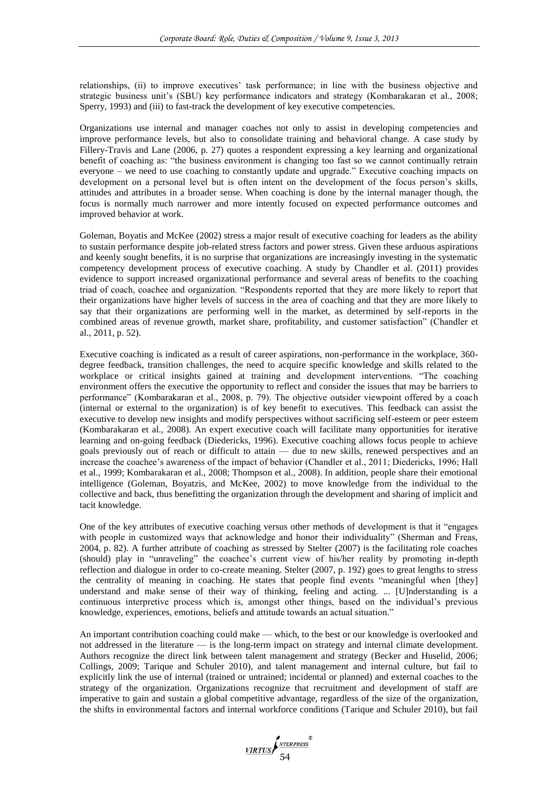relationships, (ii) to improve executives' task performance; in line with the business objective and strategic business unit's (SBU) key performance indicators and strategy (Kombarakaran et al., 2008; Sperry, 1993) and (iii) to fast-track the development of key executive competencies.

Organizations use internal and manager coaches not only to assist in developing competencies and improve performance levels, but also to consolidate training and behavioral change. A case study by Fillery-Travis and Lane (2006, p. 27) quotes a respondent expressing a key learning and organizational benefit of coaching as: "the business environment is changing too fast so we cannot continually retrain everyone – we need to use coaching to constantly update and upgrade." Executive coaching impacts on development on a personal level but is often intent on the development of the focus person's skills, attitudes and attributes in a broader sense. When coaching is done by the internal manager though, the focus is normally much narrower and more intently focused on expected performance outcomes and improved behavior at work.

Goleman, Boyatis and McKee (2002) stress a major result of executive coaching for leaders as the ability to sustain performance despite job-related stress factors and power stress. Given these arduous aspirations and keenly sought benefits, it is no surprise that organizations are increasingly investing in the systematic competency development process of executive coaching. A study by Chandler et al. (2011) provides evidence to support increased organizational performance and several areas of benefits to the coaching triad of coach, coachee and organization. "Respondents reported that they are more likely to report that their organizations have higher levels of success in the area of coaching and that they are more likely to say that their organizations are performing well in the market, as determined by self-reports in the combined areas of revenue growth, market share, profitability, and customer satisfaction" (Chandler et al., 2011, p. 52).

Executive coaching is indicated as a result of career aspirations, non-performance in the workplace, 360 degree feedback, transition challenges, the need to acquire specific knowledge and skills related to the workplace or critical insights gained at training and development interventions. "The coaching environment offers the executive the opportunity to reflect and consider the issues that may be barriers to performance" (Kombarakaran et al., 2008, p. 79). The objective outsider viewpoint offered by a coach (internal or external to the organization) is of key benefit to executives. This feedback can assist the executive to develop new insights and modify perspectives without sacrificing self-esteem or peer esteem (Kombarakaran et al., 2008). An expert executive coach will facilitate many opportunities for iterative learning and on-going feedback (Diedericks, 1996). Executive coaching allows focus people to achieve goals previously out of reach or difficult to attain — due to new skills, renewed perspectives and an increase the coachee's awareness of the impact of behavior (Chandler et al., 2011; Diedericks, 1996; Hall et al., 1999; Kombarakaran et al., 2008; Thompson et al., 2008). In addition, people share their emotional intelligence (Goleman, Boyatzis, and McKee, 2002) to move knowledge from the individual to the collective and back, thus benefitting the organization through the development and sharing of implicit and tacit knowledge.

One of the key attributes of executive coaching versus other methods of development is that it "engages with people in customized ways that acknowledge and honor their individuality" (Sherman and Freas, 2004, p. 82). A further attribute of coaching as stressed by Stelter (2007) is the facilitating role coaches (should) play in "unraveling" the coachee's current view of his/her reality by promoting in-depth reflection and dialogue in order to co-create meaning. Stelter (2007, p. 192) goes to great lengths to stress the centrality of meaning in coaching. He states that people find events "meaningful when [they] understand and make sense of their way of thinking, feeling and acting. ... [U]nderstanding is a continuous interpretive process which is, amongst other things, based on the individual's previous knowledge, experiences, emotions, beliefs and attitude towards an actual situation."

An important contribution coaching could make — which, to the best or our knowledge is overlooked and not addressed in the literature — is the long-term impact on strategy and internal climate development. Authors recognize the direct link between talent management and strategy (Becker and Huselid, 2006; Collings, 2009; Tarique and Schuler 2010), and talent management and internal culture, but fail to explicitly link the use of internal (trained or untrained; incidental or planned) and external coaches to the strategy of the organization. Organizations recognize that recruitment and development of staff are imperative to gain and sustain a global competitive advantage, regardless of the size of the organization, the shifts in environmental factors and internal workforce conditions (Tarique and Schuler 2010), but fail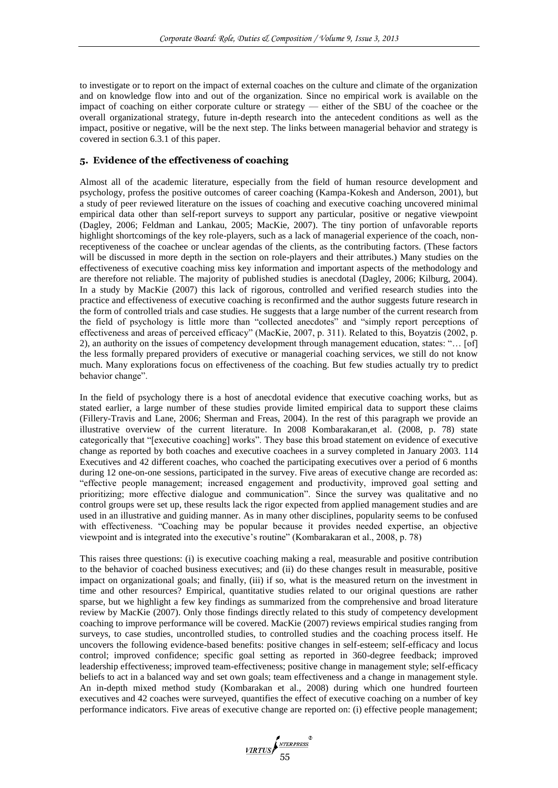to investigate or to report on the impact of external coaches on the culture and climate of the organization and on knowledge flow into and out of the organization. Since no empirical work is available on the impact of coaching on either corporate culture or strategy — either of the SBU of the coachee or the overall organizational strategy, future in-depth research into the antecedent conditions as well as the impact, positive or negative, will be the next step. The links between managerial behavior and strategy is covered in section 6.3.1 of this paper.

## **5. Evidence of the effectiveness of coaching**

Almost all of the academic literature, especially from the field of human resource development and psychology, profess the positive outcomes of career coaching (Kampa-Kokesh and Anderson, 2001), but a study of peer reviewed literature on the issues of coaching and executive coaching uncovered minimal empirical data other than self-report surveys to support any particular, positive or negative viewpoint (Dagley, 2006; Feldman and Lankau, 2005; MacKie, 2007). The tiny portion of unfavorable reports highlight shortcomings of the key role-players, such as a lack of managerial experience of the coach, nonreceptiveness of the coachee or unclear agendas of the clients, as the contributing factors. (These factors will be discussed in more depth in the section on role-players and their attributes.) Many studies on the effectiveness of executive coaching miss key information and important aspects of the methodology and are therefore not reliable. The majority of published studies is anecdotal (Dagley, 2006; Kilburg, 2004). In a study by MacKie (2007) this lack of rigorous, controlled and verified research studies into the practice and effectiveness of executive coaching is reconfirmed and the author suggests future research in the form of controlled trials and case studies. He suggests that a large number of the current research from the field of psychology is little more than "collected anecdotes" and "simply report perceptions of effectiveness and areas of perceived efficacy" (MacKie, 2007, p. 311). Related to this, Boyatzis (2002, p. 2), an authority on the issues of competency development through management education, states: "… [of] the less formally prepared providers of executive or managerial coaching services, we still do not know much. Many explorations focus on effectiveness of the coaching. But few studies actually try to predict behavior change".

In the field of psychology there is a host of anecdotal evidence that executive coaching works, but as stated earlier, a large number of these studies provide limited empirical data to support these claims (Fillery-Travis and Lane, 2006; Sherman and Freas, 2004). In the rest of this paragraph we provide an illustrative overview of the current literature. In 2008 Kombarakaran,et al. (2008, p. 78) state categorically that "[executive coaching] works". They base this broad statement on evidence of executive change as reported by both coaches and executive coachees in a survey completed in January 2003. 114 Executives and 42 different coaches, who coached the participating executives over a period of 6 months during 12 one-on-one sessions, participated in the survey. Five areas of executive change are recorded as: "effective people management; increased engagement and productivity, improved goal setting and prioritizing; more effective dialogue and communication". Since the survey was qualitative and no control groups were set up, these results lack the rigor expected from applied management studies and are used in an illustrative and guiding manner. As in many other disciplines, popularity seems to be confused with effectiveness. "Coaching may be popular because it provides needed expertise, an objective viewpoint and is integrated into the executive's routine" (Kombarakaran et al., 2008, p. 78)

This raises three questions: (i) is executive coaching making a real, measurable and positive contribution to the behavior of coached business executives; and (ii) do these changes result in measurable, positive impact on organizational goals; and finally, (iii) if so, what is the measured return on the investment in time and other resources? Empirical, quantitative studies related to our original questions are rather sparse, but we highlight a few key findings as summarized from the comprehensive and broad literature review by MacKie (2007). Only those findings directly related to this study of competency development coaching to improve performance will be covered. MacKie (2007) reviews empirical studies ranging from surveys, to case studies, uncontrolled studies, to controlled studies and the coaching process itself. He uncovers the following evidence-based benefits: positive changes in self-esteem; self-efficacy and locus control; improved confidence; specific goal setting as reported in 360-degree feedback; improved leadership effectiveness; improved team-effectiveness; positive change in management style; self-efficacy beliefs to act in a balanced way and set own goals; team effectiveness and a change in management style. An in-depth mixed method study (Kombarakan et al., 2008) during which one hundred fourteen executives and 42 coaches were surveyed, quantifies the effect of executive coaching on a number of key performance indicators. Five areas of executive change are reported on: (i) effective people management;

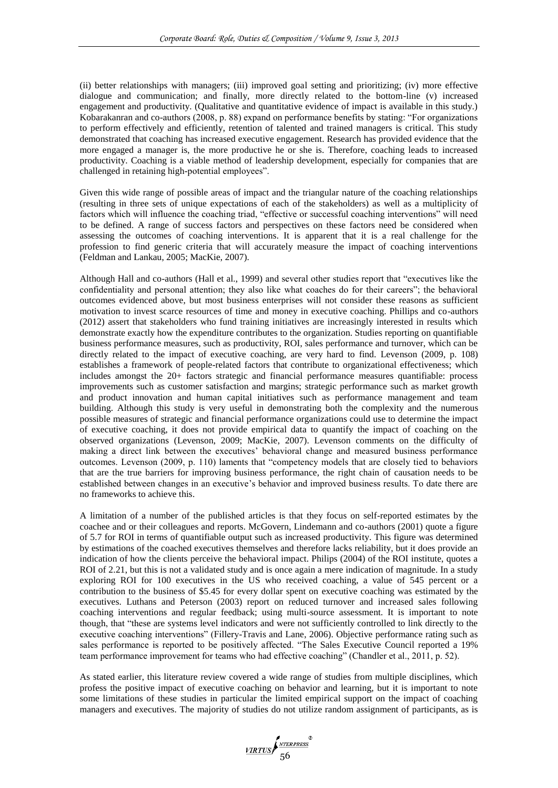(ii) better relationships with managers; (iii) improved goal setting and prioritizing; (iv) more effective dialogue and communication; and finally, more directly related to the bottom-line (v) increased engagement and productivity. (Qualitative and quantitative evidence of impact is available in this study.) Kobarakanran and co-authors (2008, p. 88) expand on performance benefits by stating: "For organizations to perform effectively and efficiently, retention of talented and trained managers is critical. This study demonstrated that coaching has increased executive engagement. Research has provided evidence that the more engaged a manager is, the more productive he or she is. Therefore, coaching leads to increased productivity. Coaching is a viable method of leadership development, especially for companies that are challenged in retaining high-potential employees".

Given this wide range of possible areas of impact and the triangular nature of the coaching relationships (resulting in three sets of unique expectations of each of the stakeholders) as well as a multiplicity of factors which will influence the coaching triad, "effective or successful coaching interventions" will need to be defined. A range of success factors and perspectives on these factors need be considered when assessing the outcomes of coaching interventions. It is apparent that it is a real challenge for the profession to find generic criteria that will accurately measure the impact of coaching interventions (Feldman and Lankau, 2005; MacKie, 2007).

Although Hall and co-authors (Hall et al., 1999) and several other studies report that "executives like the confidentiality and personal attention; they also like what coaches do for their careers"; the behavioral outcomes evidenced above, but most business enterprises will not consider these reasons as sufficient motivation to invest scarce resources of time and money in executive coaching. Phillips and co-authors (2012) assert that stakeholders who fund training initiatives are increasingly interested in results which demonstrate exactly how the expenditure contributes to the organization. Studies reporting on quantifiable business performance measures, such as productivity, ROI, sales performance and turnover, which can be directly related to the impact of executive coaching, are very hard to find. Levenson (2009, p. 108) establishes a framework of people-related factors that contribute to organizational effectiveness; which includes amongst the 20+ factors strategic and financial performance measures quantifiable: process improvements such as customer satisfaction and margins; strategic performance such as market growth and product innovation and human capital initiatives such as performance management and team building. Although this study is very useful in demonstrating both the complexity and the numerous possible measures of strategic and financial performance organizations could use to determine the impact of executive coaching, it does not provide empirical data to quantify the impact of coaching on the observed organizations (Levenson, 2009; MacKie, 2007). Levenson comments on the difficulty of making a direct link between the executives' behavioral change and measured business performance outcomes. Levenson (2009, p. 110) laments that "competency models that are closely tied to behaviors that are the true barriers for improving business performance, the right chain of causation needs to be established between changes in an executive's behavior and improved business results. To date there are no frameworks to achieve this.

A limitation of a number of the published articles is that they focus on self-reported estimates by the coachee and or their colleagues and reports. McGovern, Lindemann and co-authors (2001) quote a figure of 5.7 for ROI in terms of quantifiable output such as increased productivity. This figure was determined by estimations of the coached executives themselves and therefore lacks reliability, but it does provide an indication of how the clients perceive the behavioral impact. Philips (2004) of the ROI institute, quotes a ROI of 2.21, but this is not a validated study and is once again a mere indication of magnitude. In a study exploring ROI for 100 executives in the US who received coaching, a value of 545 percent or a contribution to the business of \$5.45 for every dollar spent on executive coaching was estimated by the executives. Luthans and Peterson (2003) report on reduced turnover and increased sales following coaching interventions and regular feedback; using multi-source assessment. It is important to note though, that "these are systems level indicators and were not sufficiently controlled to link directly to the executive coaching interventions" (Fillery-Travis and Lane, 2006). Objective performance rating such as sales performance is reported to be positively affected. "The Sales Executive Council reported a 19% team performance improvement for teams who had effective coaching" (Chandler et al., 2011, p. 52).

As stated earlier, this literature review covered a wide range of studies from multiple disciplines, which profess the positive impact of executive coaching on behavior and learning, but it is important to note some limitations of these studies in particular the limited empirical support on the impact of coaching managers and executives. The majority of studies do not utilize random assignment of participants, as is

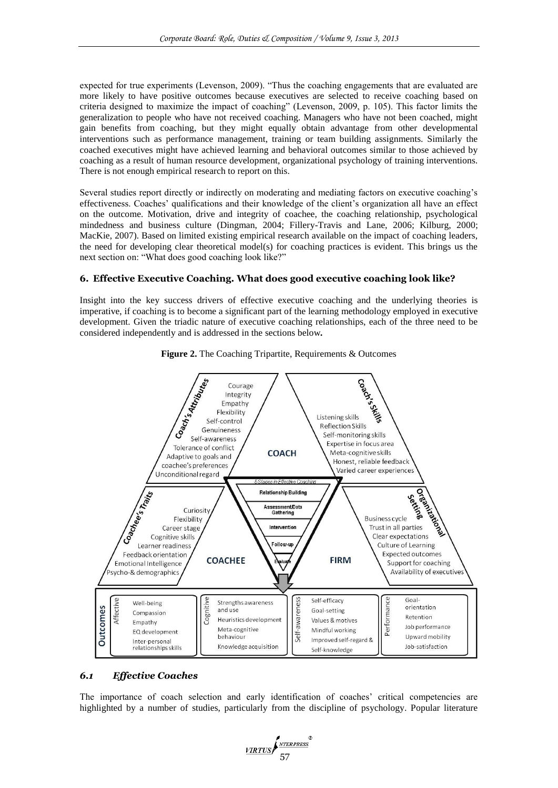expected for true experiments (Levenson, 2009). "Thus the coaching engagements that are evaluated are more likely to have positive outcomes because executives are selected to receive coaching based on criteria designed to maximize the impact of coaching" (Levenson, 2009, p. 105). This factor limits the generalization to people who have not received coaching. Managers who have not been coached, might gain benefits from coaching, but they might equally obtain advantage from other developmental interventions such as performance management, training or team building assignments. Similarly the coached executives might have achieved learning and behavioral outcomes similar to those achieved by coaching as a result of human resource development, organizational psychology of training interventions. There is not enough empirical research to report on this.

Several studies report directly or indirectly on moderating and mediating factors on executive coaching's effectiveness. Coaches' qualifications and their knowledge of the client's organization all have an effect on the outcome. Motivation, drive and integrity of coachee, the coaching relationship, psychological mindedness and business culture (Dingman, 2004; Fillery-Travis and Lane, 2006; Kilburg, 2000; MacKie, 2007). Based on limited existing empirical research available on the impact of coaching leaders, the need for developing clear theoretical model(s) for coaching practices is evident. This brings us the next section on: "What does good coaching look like?"

## **6. Effective Executive Coaching. What does good executive coaching look like?**

Insight into the key success drivers of effective executive coaching and the underlying theories is imperative, if coaching is to become a significant part of the learning methodology employed in executive development. Given the triadic nature of executive coaching relationships, each of the three need to be considered independently and is addressed in the sections below*.* 





# *6.1 Effective Coaches*

The importance of coach selection and early identification of coaches' critical competencies are highlighted by a number of studies, particularly from the discipline of psychology. Popular literature

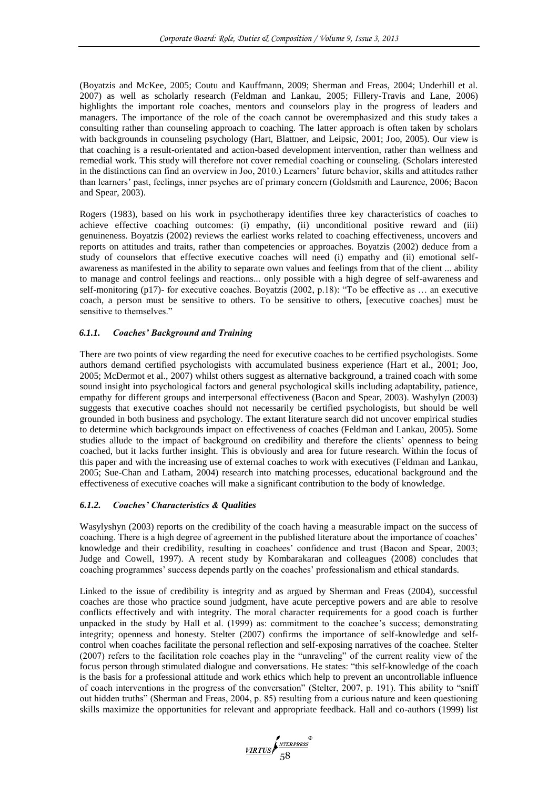(Boyatzis and McKee, 2005; Coutu and Kauffmann, 2009; Sherman and Freas, 2004; Underhill et al. 2007) as well as scholarly research (Feldman and Lankau, 2005; Fillery-Travis and Lane, 2006) highlights the important role coaches, mentors and counselors play in the progress of leaders and managers. The importance of the role of the coach cannot be overemphasized and this study takes a consulting rather than counseling approach to coaching. The latter approach is often taken by scholars with backgrounds in counseling psychology (Hart, Blattner, and Leipsic, 2001; Joo, 2005). Our view is that coaching is a result-orientated and action-based development intervention, rather than wellness and remedial work. This study will therefore not cover remedial coaching or counseling. (Scholars interested in the distinctions can find an overview in Joo, 2010.) Learners' future behavior, skills and attitudes rather than learners' past, feelings, inner psyches are of primary concern (Goldsmith and Laurence, 2006; Bacon and Spear, 2003).

Rogers (1983), based on his work in psychotherapy identifies three key characteristics of coaches to achieve effective coaching outcomes: (i) empathy, (ii) unconditional positive reward and (iii) genuineness. Boyatzis (2002) reviews the earliest works related to coaching effectiveness, uncovers and reports on attitudes and traits, rather than competencies or approaches. Boyatzis (2002) deduce from a study of counselors that effective executive coaches will need (i) empathy and (ii) emotional selfawareness as manifested in the ability to separate own values and feelings from that of the client ... ability to manage and control feelings and reactions... only possible with a high degree of self-awareness and self-monitoring (p17)- for executive coaches. Boyatzis (2002, p.18): "To be effective as … an executive coach, a person must be sensitive to others. To be sensitive to others, [executive coaches] must be sensitive to themselves."

## *6.1.1. Coaches' Background and Training*

There are two points of view regarding the need for executive coaches to be certified psychologists. Some authors demand certified psychologists with accumulated business experience (Hart et al., 2001; Joo, 2005; McDermot et al., 2007) whilst others suggest as alternative background, a trained coach with some sound insight into psychological factors and general psychological skills including adaptability, patience, empathy for different groups and interpersonal effectiveness (Bacon and Spear, 2003). Washylyn (2003) suggests that executive coaches should not necessarily be certified psychologists, but should be well grounded in both business and psychology. The extant literature search did not uncover empirical studies to determine which backgrounds impact on effectiveness of coaches (Feldman and Lankau, 2005). Some studies allude to the impact of background on credibility and therefore the clients' openness to being coached, but it lacks further insight. This is obviously and area for future research. Within the focus of this paper and with the increasing use of external coaches to work with executives (Feldman and Lankau, 2005; Sue-Chan and Latham, 2004) research into matching processes, educational background and the effectiveness of executive coaches will make a significant contribution to the body of knowledge.

#### *6.1.2. Coaches' Characteristics & Qualities*

Wasylyshyn (2003) reports on the credibility of the coach having a measurable impact on the success of coaching. There is a high degree of agreement in the published literature about the importance of coaches' knowledge and their credibility, resulting in coachees' confidence and trust (Bacon and Spear, 2003; Judge and Cowell, 1997). A recent study by Kombarakaran and colleagues (2008) concludes that coaching programmes' success depends partly on the coaches' professionalism and ethical standards.

Linked to the issue of credibility is integrity and as argued by Sherman and Freas (2004), successful coaches are those who practice sound judgment, have acute perceptive powers and are able to resolve conflicts effectively and with integrity. The moral character requirements for a good coach is further unpacked in the study by Hall et al. (1999) as: commitment to the coachee's success; demonstrating integrity; openness and honesty. Stelter (2007) confirms the importance of self-knowledge and selfcontrol when coaches facilitate the personal reflection and self-exposing narratives of the coachee. Stelter (2007) refers to the facilitation role coaches play in the "unraveling" of the current reality view of the focus person through stimulated dialogue and conversations. He states: "this self-knowledge of the coach is the basis for a professional attitude and work ethics which help to prevent an uncontrollable influence of coach interventions in the progress of the conversation" (Stelter, 2007, p. 191). This ability to "sniff out hidden truths" (Sherman and Freas, 2004, p. 85) resulting from a curious nature and keen questioning skills maximize the opportunities for relevant and appropriate feedback. Hall and co-authors (1999) list

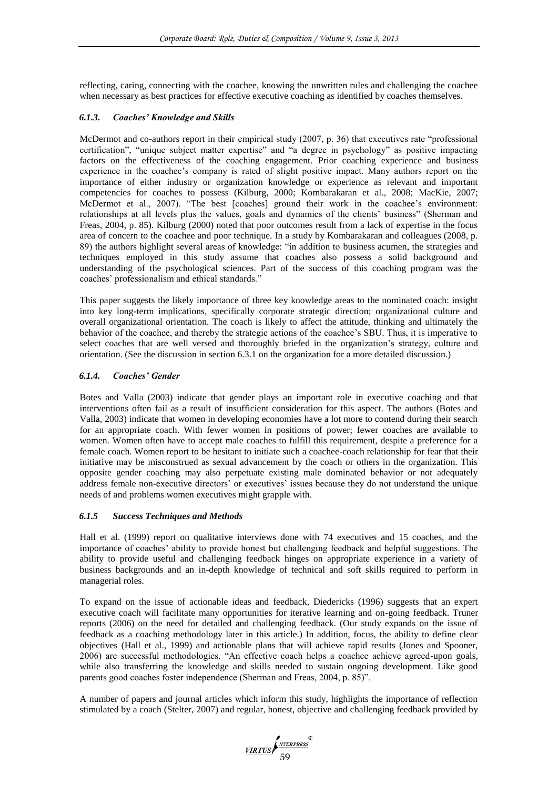reflecting, caring, connecting with the coachee, knowing the unwritten rules and challenging the coachee when necessary as best practices for effective executive coaching as identified by coaches themselves.

# *6.1.3. Coaches' Knowledge and Skills*

McDermot and co-authors report in their empirical study (2007, p. 36) that executives rate "professional certification", "unique subject matter expertise" and "a degree in psychology" as positive impacting factors on the effectiveness of the coaching engagement. Prior coaching experience and business experience in the coachee's company is rated of slight positive impact. Many authors report on the importance of either industry or organization knowledge or experience as relevant and important competencies for coaches to possess (Kilburg, 2000; Kombarakaran et al., 2008; MacKie, 2007; McDermot et al., 2007). "The best [coaches] ground their work in the coachee's environment: relationships at all levels plus the values, goals and dynamics of the clients' business" (Sherman and Freas, 2004, p. 85). Kilburg (2000) noted that poor outcomes result from a lack of expertise in the focus area of concern to the coachee and poor technique. In a study by Kombarakaran and colleagues (2008, p. 89) the authors highlight several areas of knowledge: "in addition to business acumen, the strategies and techniques employed in this study assume that coaches also possess a solid background and understanding of the psychological sciences. Part of the success of this coaching program was the coaches' professionalism and ethical standards."

This paper suggests the likely importance of three key knowledge areas to the nominated coach: insight into key long-term implications, specifically corporate strategic direction; organizational culture and overall organizational orientation. The coach is likely to affect the attitude, thinking and ultimately the behavior of the coachee, and thereby the strategic actions of the coachee's SBU. Thus, it is imperative to select coaches that are well versed and thoroughly briefed in the organization's strategy, culture and orientation. (See the discussion in section 6.3.1 on the organization for a more detailed discussion.)

# *6.1.4. Coaches' Gender*

Botes and Valla (2003) indicate that gender plays an important role in executive coaching and that interventions often fail as a result of insufficient consideration for this aspect. The authors (Botes and Valla, 2003) indicate that women in developing economies have a lot more to contend during their search for an appropriate coach. With fewer women in positions of power; fewer coaches are available to women. Women often have to accept male coaches to fulfill this requirement, despite a preference for a female coach. Women report to be hesitant to initiate such a coachee-coach relationship for fear that their initiative may be misconstrued as sexual advancement by the coach or others in the organization. This opposite gender coaching may also perpetuate existing male dominated behavior or not adequately address female non-executive directors' or executives' issues because they do not understand the unique needs of and problems women executives might grapple with.

# *6.1.5 Success Techniques and Methods*

Hall et al. (1999) report on qualitative interviews done with 74 executives and 15 coaches, and the importance of coaches' ability to provide honest but challenging feedback and helpful suggestions. The ability to provide useful and challenging feedback hinges on appropriate experience in a variety of business backgrounds and an in-depth knowledge of technical and soft skills required to perform in managerial roles.

To expand on the issue of actionable ideas and feedback, Diedericks (1996) suggests that an expert executive coach will facilitate many opportunities for iterative learning and on-going feedback. Truner reports (2006) on the need for detailed and challenging feedback. (Our study expands on the issue of feedback as a coaching methodology later in this article.) In addition, focus, the ability to define clear objectives (Hall et al., 1999) and actionable plans that will achieve rapid results (Jones and Spooner, 2006) are successful methodologies. "An effective coach helps a coachee achieve agreed-upon goals, while also transferring the knowledge and skills needed to sustain ongoing development. Like good parents good coaches foster independence (Sherman and Freas, 2004, p. 85)".

A number of papers and journal articles which inform this study, highlights the importance of reflection stimulated by a coach (Stelter, 2007) and regular, honest, objective and challenging feedback provided by

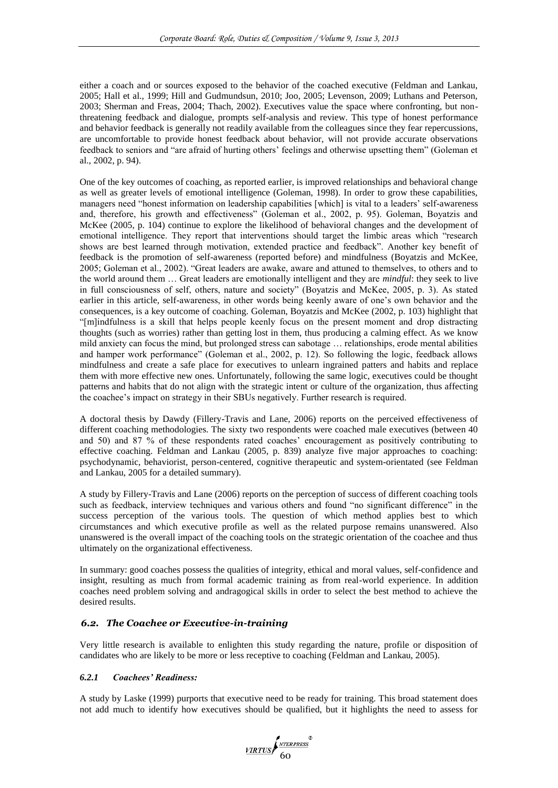either a coach and or sources exposed to the behavior of the coached executive (Feldman and Lankau, 2005; Hall et al., 1999; Hill and Gudmundsun, 2010; Joo, 2005; Levenson, 2009; Luthans and Peterson, 2003; Sherman and Freas, 2004; Thach, 2002). Executives value the space where confronting, but nonthreatening feedback and dialogue, prompts self-analysis and review. This type of honest performance and behavior feedback is generally not readily available from the colleagues since they fear repercussions, are uncomfortable to provide honest feedback about behavior, will not provide accurate observations feedback to seniors and "are afraid of hurting others' feelings and otherwise upsetting them" (Goleman et al., 2002, p. 94).

One of the key outcomes of coaching, as reported earlier, is improved relationships and behavioral change as well as greater levels of emotional intelligence (Goleman, 1998). In order to grow these capabilities, managers need "honest information on leadership capabilities [which] is vital to a leaders' self-awareness and, therefore, his growth and effectiveness" (Goleman et al., 2002, p. 95). Goleman, Boyatzis and McKee (2005, p. 104) continue to explore the likelihood of behavioral changes and the development of emotional intelligence. They report that interventions should target the limbic areas which "research shows are best learned through motivation, extended practice and feedback". Another key benefit of feedback is the promotion of self-awareness (reported before) and mindfulness (Boyatzis and McKee, 2005; Goleman et al., 2002). "Great leaders are awake, aware and attuned to themselves, to others and to the world around them … Great leaders are emotionally intelligent and they are *mindful*: they seek to live in full consciousness of self, others, nature and society" (Boyatzis and McKee, 2005, p. 3). As stated earlier in this article, self-awareness, in other words being keenly aware of one's own behavior and the consequences, is a key outcome of coaching. Goleman, Boyatzis and McKee (2002, p. 103) highlight that "[m]indfulness is a skill that helps people keenly focus on the present moment and drop distracting thoughts (such as worries) rather than getting lost in them, thus producing a calming effect. As we know mild anxiety can focus the mind, but prolonged stress can sabotage … relationships, erode mental abilities and hamper work performance" (Goleman et al., 2002, p. 12). So following the logic, feedback allows mindfulness and create a safe place for executives to unlearn ingrained patters and habits and replace them with more effective new ones. Unfortunately, following the same logic, executives could be thought patterns and habits that do not align with the strategic intent or culture of the organization, thus affecting the coachee's impact on strategy in their SBUs negatively. Further research is required.

A doctoral thesis by Dawdy (Fillery-Travis and Lane, 2006) reports on the perceived effectiveness of different coaching methodologies. The sixty two respondents were coached male executives (between 40 and 50) and 87 % of these respondents rated coaches' encouragement as positively contributing to effective coaching. Feldman and Lankau (2005, p. 839) analyze five major approaches to coaching: psychodynamic, behaviorist, person-centered, cognitive therapeutic and system-orientated (see Feldman and Lankau, 2005 for a detailed summary).

A study by Fillery-Travis and Lane (2006) reports on the perception of success of different coaching tools such as feedback, interview techniques and various others and found "no significant difference" in the success perception of the various tools. The question of which method applies best to which circumstances and which executive profile as well as the related purpose remains unanswered. Also unanswered is the overall impact of the coaching tools on the strategic orientation of the coachee and thus ultimately on the organizational effectiveness.

In summary: good coaches possess the qualities of integrity, ethical and moral values, self-confidence and insight, resulting as much from formal academic training as from real-world experience. In addition coaches need problem solving and andragogical skills in order to select the best method to achieve the desired results.

# *6.2. The Coachee or Executive-in-training*

Very little research is available to enlighten this study regarding the nature, profile or disposition of candidates who are likely to be more or less receptive to coaching (Feldman and Lankau, 2005).

#### *6.2.1 Coachees' Readiness:*

A study by Laske (1999) purports that executive need to be ready for training. This broad statement does not add much to identify how executives should be qualified, but it highlights the need to assess for

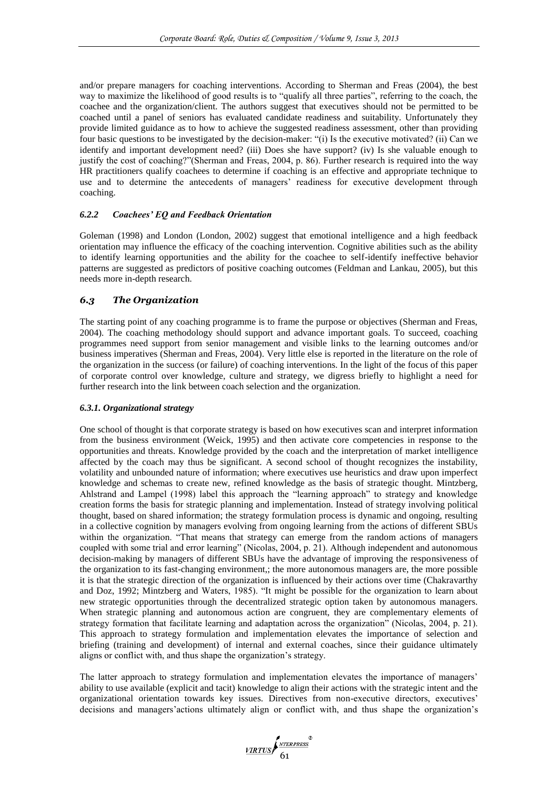and/or prepare managers for coaching interventions. According to Sherman and Freas (2004), the best way to maximize the likelihood of good results is to "qualify all three parties", referring to the coach, the coachee and the organization/client. The authors suggest that executives should not be permitted to be coached until a panel of seniors has evaluated candidate readiness and suitability. Unfortunately they provide limited guidance as to how to achieve the suggested readiness assessment, other than providing four basic questions to be investigated by the decision-maker: "(i) Is the executive motivated? (ii) Can we identify and important development need? (iii) Does she have support? (iv) Is she valuable enough to justify the cost of coaching?"(Sherman and Freas, 2004, p. 86). Further research is required into the way HR practitioners qualify coachees to determine if coaching is an effective and appropriate technique to use and to determine the antecedents of managers' readiness for executive development through coaching.

## *6.2.2 Coachees' EQ and Feedback Orientation*

Goleman (1998) and London (London, 2002) suggest that emotional intelligence and a high feedback orientation may influence the efficacy of the coaching intervention. Cognitive abilities such as the ability to identify learning opportunities and the ability for the coachee to self-identify ineffective behavior patterns are suggested as predictors of positive coaching outcomes (Feldman and Lankau, 2005), but this needs more in-depth research.

# *6.3 The Organization*

The starting point of any coaching programme is to frame the purpose or objectives (Sherman and Freas, 2004). The coaching methodology should support and advance important goals. To succeed, coaching programmes need support from senior management and visible links to the learning outcomes and/or business imperatives (Sherman and Freas, 2004). Very little else is reported in the literature on the role of the organization in the success (or failure) of coaching interventions. In the light of the focus of this paper of corporate control over knowledge, culture and strategy, we digress briefly to highlight a need for further research into the link between coach selection and the organization.

### *6.3.1. Organizational strategy*

One school of thought is that corporate strategy is based on how executives scan and interpret information from the business environment (Weick, 1995) and then activate core competencies in response to the opportunities and threats. Knowledge provided by the coach and the interpretation of market intelligence affected by the coach may thus be significant. A second school of thought recognizes the instability, volatility and unbounded nature of information; where executives use heuristics and draw upon imperfect knowledge and schemas to create new, refined knowledge as the basis of strategic thought. Mintzberg, Ahlstrand and Lampel (1998) label this approach the "learning approach" to strategy and knowledge creation forms the basis for strategic planning and implementation. Instead of strategy involving political thought, based on shared information; the strategy formulation process is dynamic and ongoing, resulting in a collective cognition by managers evolving from ongoing learning from the actions of different SBUs within the organization. "That means that strategy can emerge from the random actions of managers coupled with some trial and error learning" (Nicolas, 2004, p. 21). Although independent and autonomous decision-making by managers of different SBUs have the advantage of improving the responsiveness of the organization to its fast-changing environment,; the more autonomous managers are, the more possible it is that the strategic direction of the organization is influenced by their actions over time (Chakravarthy and Doz, 1992; Mintzberg and Waters, 1985). "It might be possible for the organization to learn about new strategic opportunities through the decentralized strategic option taken by autonomous managers. When strategic planning and autonomous action are congruent, they are complementary elements of strategy formation that facilitate learning and adaptation across the organization" (Nicolas, 2004, p. 21). This approach to strategy formulation and implementation elevates the importance of selection and briefing (training and development) of internal and external coaches, since their guidance ultimately aligns or conflict with, and thus shape the organization's strategy.

The latter approach to strategy formulation and implementation elevates the importance of managers' ability to use available (explicit and tacit) knowledge to align their actions with the strategic intent and the organizational orientation towards key issues. Directives from non-executive directors, executives' decisions and managers'actions ultimately align or conflict with, and thus shape the organization's

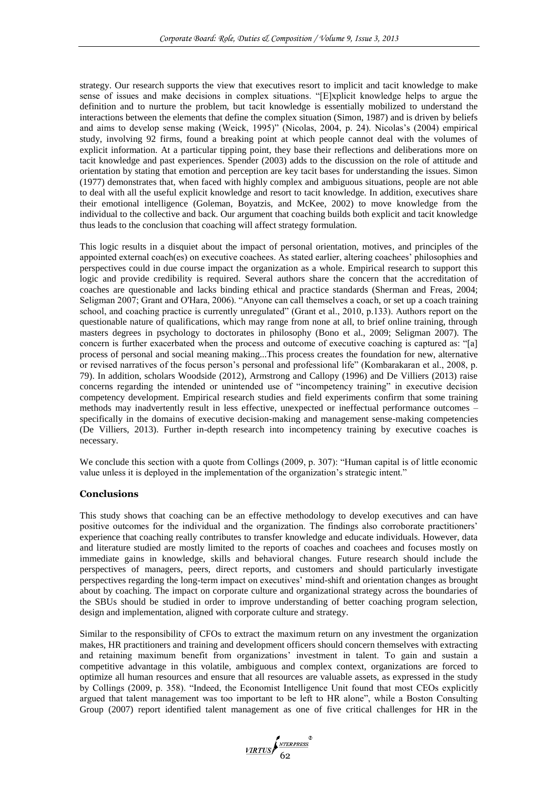strategy. Our research supports the view that executives resort to implicit and tacit knowledge to make sense of issues and make decisions in complex situations. "[E]xplicit knowledge helps to argue the definition and to nurture the problem, but tacit knowledge is essentially mobilized to understand the interactions between the elements that define the complex situation (Simon, 1987) and is driven by beliefs and aims to develop sense making (Weick, 1995)" (Nicolas, 2004, p. 24). Nicolas's (2004) empirical study, involving 92 firms, found a breaking point at which people cannot deal with the volumes of explicit information. At a particular tipping point, they base their reflections and deliberations more on tacit knowledge and past experiences. Spender (2003) adds to the discussion on the role of attitude and orientation by stating that emotion and perception are key tacit bases for understanding the issues. Simon (1977) demonstrates that, when faced with highly complex and ambiguous situations, people are not able to deal with all the useful explicit knowledge and resort to tacit knowledge. In addition, executives share their emotional intelligence (Goleman, Boyatzis, and McKee, 2002) to move knowledge from the individual to the collective and back. Our argument that coaching builds both explicit and tacit knowledge thus leads to the conclusion that coaching will affect strategy formulation.

This logic results in a disquiet about the impact of personal orientation, motives, and principles of the appointed external coach(es) on executive coachees. As stated earlier, altering coachees' philosophies and perspectives could in due course impact the organization as a whole. Empirical research to support this logic and provide credibility is required. Several authors share the concern that the accreditation of coaches are questionable and lacks binding ethical and practice standards (Sherman and Freas, 2004; Seligman 2007; Grant and O'Hara, 2006). "Anyone can call themselves a coach, or set up a coach training school, and coaching practice is currently unregulated" (Grant et al., 2010, p.133). Authors report on the questionable nature of qualifications, which may range from none at all, to brief online training, through masters degrees in psychology to doctorates in philosophy (Bono et al., 2009; Seligman 2007). The concern is further exacerbated when the process and outcome of executive coaching is captured as: "[a] process of personal and social meaning making...This process creates the foundation for new, alternative or revised narratives of the focus person's personal and professional life" (Kombarakaran et al., 2008, p. 79). In addition, scholars Woodside (2012), Armstrong and Callopy (1996) and De Villiers (2013) raise concerns regarding the intended or unintended use of "incompetency training" in executive decision competency development. Empirical research studies and field experiments confirm that some training methods may inadvertently result in less effective, unexpected or ineffectual performance outcomes – specifically in the domains of executive decision-making and management sense-making competencies (De Villiers, 2013). Further in-depth research into incompetency training by executive coaches is necessary.

We conclude this section with a quote from Collings (2009, p. 307): "Human capital is of little economic value unless it is deployed in the implementation of the organization's strategic intent."

#### **Conclusions**

This study shows that coaching can be an effective methodology to develop executives and can have positive outcomes for the individual and the organization. The findings also corroborate practitioners' experience that coaching really contributes to transfer knowledge and educate individuals. However, data and literature studied are mostly limited to the reports of coaches and coachees and focuses mostly on immediate gains in knowledge, skills and behavioral changes. Future research should include the perspectives of managers, peers, direct reports, and customers and should particularly investigate perspectives regarding the long-term impact on executives' mind-shift and orientation changes as brought about by coaching. The impact on corporate culture and organizational strategy across the boundaries of the SBUs should be studied in order to improve understanding of better coaching program selection, design and implementation, aligned with corporate culture and strategy.

Similar to the responsibility of CFOs to extract the maximum return on any investment the organization makes, HR practitioners and training and development officers should concern themselves with extracting and retaining maximum benefit from organizations' investment in talent. To gain and sustain a competitive advantage in this volatile, ambiguous and complex context, organizations are forced to optimize all human resources and ensure that all resources are valuable assets, as expressed in the study by Collings (2009, p. 358). "Indeed, the Economist Intelligence Unit found that most CEOs explicitly argued that talent management was too important to be left to HR alone", while a Boston Consulting Group (2007) report identified talent management as one of five critical challenges for HR in the

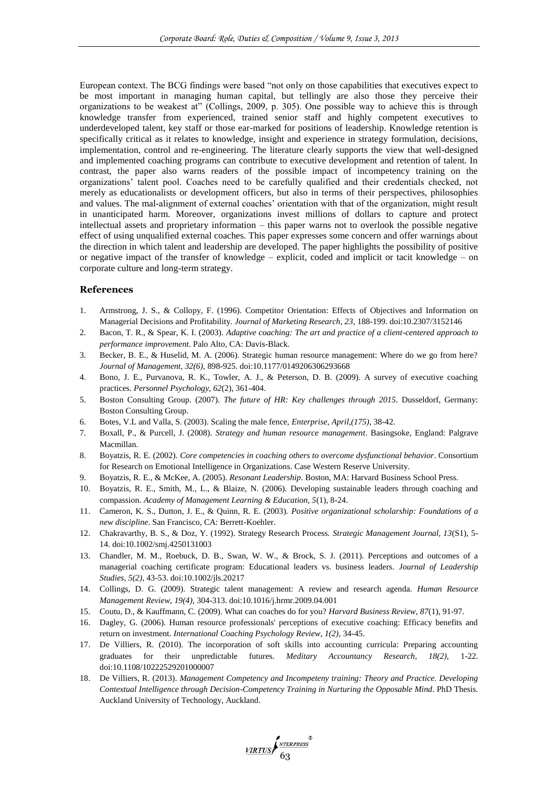European context. The BCG findings were based "not only on those capabilities that executives expect to be most important in managing human capital, but tellingly are also those they perceive their organizations to be weakest at" (Collings, 2009, p. 305). One possible way to achieve this is through knowledge transfer from experienced, trained senior staff and highly competent executives to underdeveloped talent, key staff or those ear-marked for positions of leadership. Knowledge retention is specifically critical as it relates to knowledge, insight and experience in strategy formulation, decisions, implementation, control and re-engineering. The literature clearly supports the view that well-designed and implemented coaching programs can contribute to executive development and retention of talent. In contrast, the paper also warns readers of the possible impact of incompetency training on the organizations' talent pool. Coaches need to be carefully qualified and their credentials checked, not merely as educationalists or development officers, but also in terms of their perspectives, philosophies and values. The mal-alignment of external coaches' orientation with that of the organization, might result in unanticipated harm. Moreover, organizations invest millions of dollars to capture and protect intellectual assets and proprietary information – this paper warns not to overlook the possible negative effect of using unqualified external coaches. This paper expresses some concern and offer warnings about the direction in which talent and leadership are developed. The paper highlights the possibility of positive or negative impact of the transfer of knowledge – explicit, coded and implicit or tacit knowledge – on corporate culture and long-term strategy.

#### **References**

- 1. Armstrong, J. S., & Collopy, F. (1996). Competitor Orientation: Effects of Objectives and Information on Managerial Decisions and Profitability. *Journal of Marketing Research, 23*, 188-199. doi:10.2307/3152146
- 2. Bacon, T. R., & Spear, K. I. (2003). *Adaptive coaching: The art and practice of a client-centered approach to performance improvement*. Palo Alto, CA: Davis-Black.
- 3. Becker, B. E., & Huselid, M. A. (2006). Strategic human resource management: Where do we go from here? *Journal of Management, 32(6),* 898-925. doi:10.1177/0149206306293668
- 4. Bono, J. E., Purvanova, R. K., Towler, A. J., & Peterson, D. B. (2009). A survey of executive coaching practices. *Personnel Psychology, 62*(2), 361-404.
- 5. Boston Consulting Group. (2007). *The future of HR: Key challenges through 2015*. Dusseldorf, Germany: Boston Consulting Group.
- 6. Botes, V.L and Valla, S. (2003). Scaling the male fence, *Enterprise, April,(175),* 38-42.
- 7. Boxall, P., & Purcell, J. (2008). *Strategy and human resource management*. Basingsoke, England: Palgrave Macmillan.
- 8. Boyatzis, R. E. (2002). *Core competencies in coaching others to overcome dysfunctional behavior*. Consortium for Research on Emotional Intelligence in Organizations. Case Western Reserve University.
- 9. Boyatzis, R. E., & McKee, A. (2005). *Resonant Leadership*. Boston, MA: Harvard Business School Press.
- 10. Boyatzis, R. E., Smith, M., L., & Blaize, N. (2006). Developing sustainable leaders through coaching and compassion. *Academy of Management Learning & Education, 5*(1), 8-24.
- 11. Cameron, K. S., Dutton, J. E., & Quinn, R. E. (2003). *Positive organizational scholarship: Foundations of a new discipline*. San Francisco, CA: Berrett-Koehler.
- 12. Chakravarthy, B. S., & Doz, Y. (1992). Strategy Research Process. *Strategic Management Journal, 13*(S1), 5- 14. doi:10.1002/smj.4250131003
- 13. Chandler, M. M., Roebuck, D. B., Swan, W. W., & Brock, S. J. (2011). Perceptions and outcomes of a managerial coaching certificate program: Educational leaders vs. business leaders. *Journal of Leadership Studies, 5(2),* 43-53. doi:10.1002/jls.20217
- 14. Collings, D. G. (2009). Strategic talent management: A review and research agenda. *Human Resource Management Review, 19(4),* 304-313. doi:10.1016/j.hrmr.2009.04.001
- 15. Coutu, D., & Kauffmann, C. (2009). What can coaches do for you? *Harvard Business Review, 87*(1), 91-97.
- 16. Dagley, G. (2006). Human resource professionals' perceptions of executive coaching: Efficacy benefits and return on investment. *International Coaching Psychology Review, 1(2),* 34-45.
- 17. De Villiers, R. (2010). The incorporation of soft skills into accounting curricula: Preparing accounting graduates for their unpredictable futures. *Meditary Accountancy Research, 18(2),* 1-22. doi:10.1108/10222529201000007
- 18. De Villiers, R. (2013). *Management Competency and Incompeteny training: Theory and Practice. Developing Contextual Intelligence through Decision-Competency Training in Nurturing the Opposable Mind*. PhD Thesis. Auckland University of Technology, Auckland.

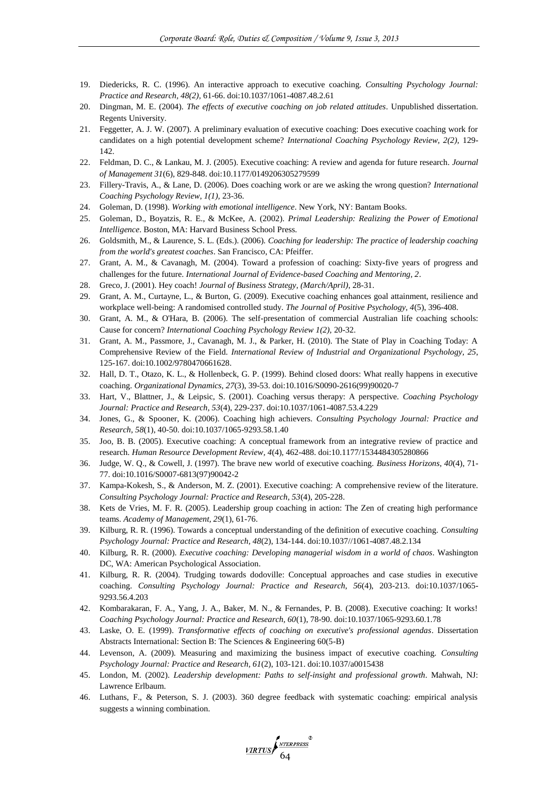- 19. Diedericks, R. C. (1996). An interactive approach to executive coaching. *Consulting Psychology Journal: Practice and Research, 48(2),* 61-66. doi:10.1037/1061-4087.48.2.61
- 20. Dingman, M. E. (2004). *The effects of executive coaching on job related attitudes*. Unpublished dissertation. Regents University.
- 21. Feggetter, A. J. W. (2007). A preliminary evaluation of executive coaching: Does executive coaching work for candidates on a high potential development scheme? *International Coaching Psychology Review, 2(2),* 129- 142.
- 22. Feldman, D. C., & Lankau, M. J. (2005). Executive coaching: A review and agenda for future research. *Journal of Management 31*(6), 829-848. doi:10.1177/0149206305279599
- 23. Fillery-Travis, A., & Lane, D. (2006). Does coaching work or are we asking the wrong question? *International Coaching Psychology Review, 1(1),* 23-36.
- 24. Goleman, D. (1998). *Working with emotional intelligence*. New York, NY: Bantam Books.
- 25. Goleman, D., Boyatzis, R. E., & McKee, A. (2002). *Primal Leadership: Realizing the Power of Emotional Intelligence*. Boston, MA: Harvard Business School Press.
- 26. Goldsmith, M., & Laurence, S. L. (Eds.). (2006). *Coaching for leadership: The practice of leadership coaching from the world's greatest coaches*. San Francisco, CA: Pfeiffer.
- 27. Grant, A. M., & Cavanagh, M. (2004). Toward a profession of coaching: Sixty-five years of progress and challenges for the future. *International Journal of Evidence-based Coaching and Mentoring, 2*.
- 28. Greco, J. (2001). Hey coach! *Journal of Business Strategy, (March/April)*, 28-31.
- 29. Grant, A. M., Curtayne, L., & Burton, G. (2009). Executive coaching enhances goal attainment, resilience and workplace well-being: A randomised controlled study. *The Journal of Positive Psychology, 4*(5), 396-408.
- 30. Grant, A. M., & O'Hara, B. (2006). The self-presentation of commercial Australian life coaching schools: Cause for concern? *International Coaching Psychology Review 1(2),* 20-32.
- 31. Grant, A. M., Passmore, J., Cavanagh, M. J., & Parker, H. (2010). The State of Play in Coaching Today: A Comprehensive Review of the Field. *International Review of Industrial and Organizational Psychology, 25*, 125-167. doi:10.1002/9780470661628.
- 32. Hall, D. T., Otazo, K. L., & Hollenbeck, G. P. (1999). Behind closed doors: What really happens in executive coaching. *Organizational Dynamics, 27*(3), 39-53. doi:10.1016/S0090-2616(99)90020-7
- 33. Hart, V., Blattner, J., & Leipsic, S. (2001). Coaching versus therapy: A perspective. *Coaching Psychology Journal: Practice and Research, 53*(4), 229-237. doi:10.1037/1061-4087.53.4.229
- 34. Jones, G., & Spooner, K. (2006). Coaching high achievers. *Consulting Psychology Journal: Practice and Research, 58*(1), 40-50. doi:10.1037/1065-9293.58.1.40
- 35. Joo, B. B. (2005). Executive coaching: A conceptual framework from an integrative review of practice and research. *Human Resource Development Review, 4*(4), 462-488. doi:10.1177/1534484305280866
- 36. Judge, W. Q., & Cowell, J. (1997). The brave new world of executive coaching. *Business Horizons, 40*(4), 71- 77. doi:10.1016/S0007-6813(97)90042-2
- 37. Kampa-Kokesh, S., & Anderson, M. Z. (2001). Executive coaching: A comprehensive review of the literature. *Consulting Psychology Journal: Practice and Research, 53*(4), 205-228.
- 38. Kets de Vries, M. F. R. (2005). Leadership group coaching in action: The Zen of creating high performance teams. *Academy of Management, 29*(1), 61-76.
- 39. Kilburg, R. R. (1996). Towards a conceptual understanding of the definition of executive coaching. *Consulting Psychology Journal: Practice and Research, 48*(2), 134-144. doi:10.1037//1061-4087.48.2.134
- 40. Kilburg, R. R. (2000). *Executive coaching: Developing managerial wisdom in a world of chaos*. Washington DC, WA: American Psychological Association.
- 41. Kilburg, R. R. (2004). Trudging towards dodoville: Conceptual approaches and case studies in executive coaching. *Consulting Psychology Journal: Practice and Research, 56*(4), 203-213. doi:10.1037/1065- 9293.56.4.203
- 42. Kombarakaran, F. A., Yang, J. A., Baker, M. N., & Fernandes, P. B. (2008). Executive coaching: It works! *Coaching Psychology Journal: Practice and Research, 60*(1), 78-90. doi:10.1037/1065-9293.60.1.78
- 43. Laske, O. E. (1999). *Transformative effects of coaching on executive's professional agendas*. Dissertation Abstracts International: Section B: The Sciences & Engineering 60(5-B)
- 44. Levenson, A. (2009). Measuring and maximizing the business impact of executive coaching. *Consulting Psychology Journal: Practice and Research, 61*(2), 103-121. doi:10.1037/a0015438
- 45. London, M. (2002). *Leadership development: Paths to self-insight and professional growth*. Mahwah, NJ: Lawrence Erlbaum.
- 46. Luthans, F., & Peterson, S. J. (2003). 360 degree feedback with systematic coaching: empirical analysis suggests a winning combination.